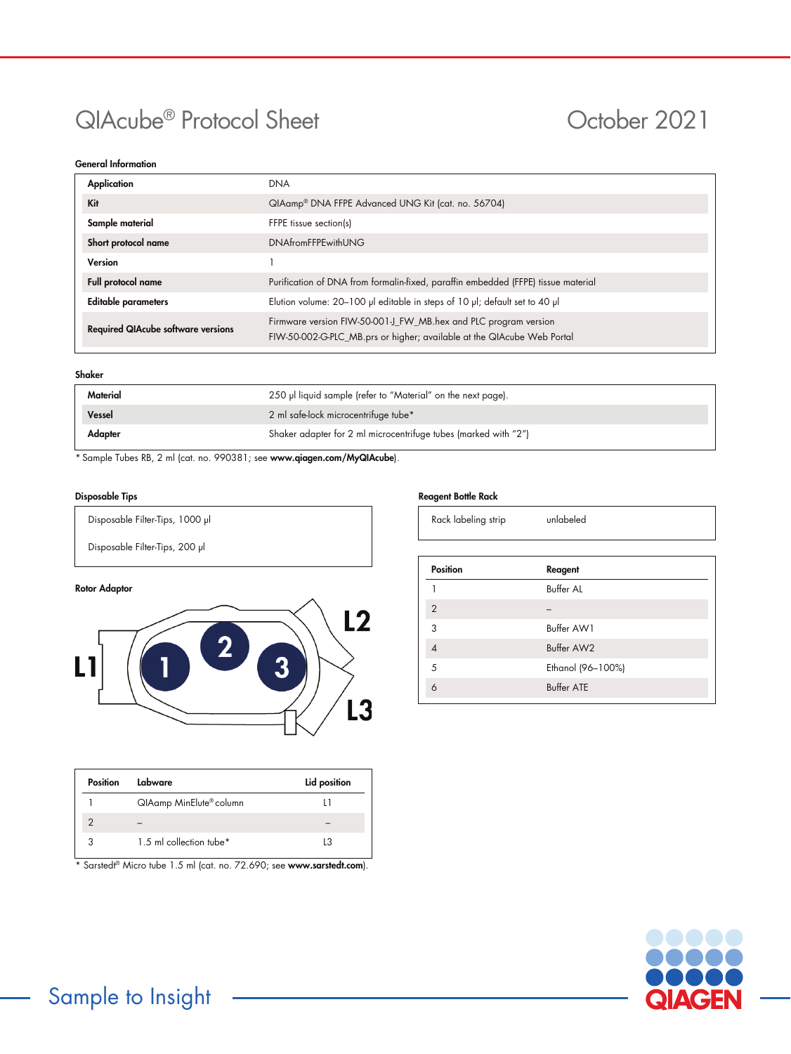# QIAcube<sup>®</sup> Protocol Sheet **October 2021**

# General Information

| Application                               | <b>DNA</b>                                                                                                                                |  |  |
|-------------------------------------------|-------------------------------------------------------------------------------------------------------------------------------------------|--|--|
| Kit                                       | QIAamp <sup>®</sup> DNA FFPE Advanced UNG Kit (cat. no. 56704)                                                                            |  |  |
| Sample material                           | FFPE tissue section(s)                                                                                                                    |  |  |
| Short protocol name                       | <b>DNAfromFFPEwithUNG</b>                                                                                                                 |  |  |
| Version                                   |                                                                                                                                           |  |  |
| Full protocol name                        | Purification of DNA from formalin-fixed, paraffin embedded (FFPE) tissue material                                                         |  |  |
| <b>Editable parameters</b>                | Elution volume: 20-100 µl editable in steps of 10 µl; default set to 40 µl                                                                |  |  |
| <b>Required QIAcube software versions</b> | Firmware version FIW-50-001-J_FW_MB.hex and PLC program version<br>FIW-50-002-G-PLC_MB.prs or higher; available at the QIAcube Web Portal |  |  |

# Shaker

| Material | 250 µl liquid sample (refer to "Material" on the next page).    |  |  |
|----------|-----------------------------------------------------------------|--|--|
| Vessel   | 2 ml safe-lock microcentrifuge tube*                            |  |  |
| Adapter  | Shaker adapter for 2 ml microcentrifuge tubes (marked with "2") |  |  |
|          |                                                                 |  |  |

\* Sample Tubes RB, 2 ml (cat. no. 990381; see www.qiagen.com/MyQIAcube).

# Disposable Tips

Disposable Filter-Tips, 1000 μl

Disposable Filter-Tips, 200 µl

# Rotor Adaptor



| Position | Labware                 | Lid position |
|----------|-------------------------|--------------|
|          | QIAamp MinElute® column |              |
|          |                         |              |
|          | 1.5 ml collection tube* | L3           |

\* Sarstedt® Micro tube 1.5 ml (cat. no. 72.690; see [www.sarstedt.com](http://www.sarstedt.com/)).

# Reagent Bottle Rack

| Rack labeling strip |
|---------------------|
|---------------------|

unlabeled

| <b>Position</b> | Reagent           |
|-----------------|-------------------|
|                 | <b>Buffer AL</b>  |
| $\overline{2}$  |                   |
| 3               | Buffer AW1        |
|                 | Buffer AW2        |
| 5               | Ethanol (96-100%) |
|                 | <b>Buffer ATE</b> |
|                 |                   |